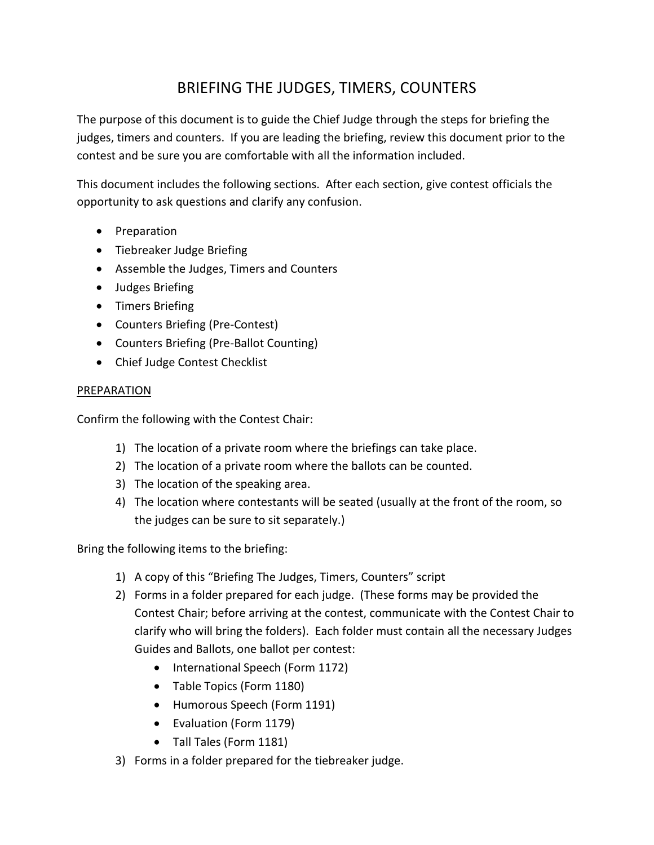# BRIEFING THE JUDGES, TIMERS, COUNTERS

The purpose of this document is to guide the Chief Judge through the steps for briefing the judges, timers and counters. If you are leading the briefing, review this document prior to the contest and be sure you are comfortable with all the information included.

This document includes the following sections. After each section, give contest officials the opportunity to ask questions and clarify any confusion.

- Preparation
- Tiebreaker Judge Briefing
- Assemble the Judges, Timers and Counters
- Judges Briefing
- Timers Briefing
- Counters Briefing (Pre-Contest)
- Counters Briefing (Pre-Ballot Counting)
- Chief Judge Contest Checklist

#### PREPARATION

Confirm the following with the Contest Chair:

- 1) The location of a private room where the briefings can take place.
- 2) The location of a private room where the ballots can be counted.
- 3) The location of the speaking area.
- 4) The location where contestants will be seated (usually at the front of the room, so the judges can be sure to sit separately.)

Bring the following items to the briefing:

- 1) A copy of this "Briefing The Judges, Timers, Counters" script
- 2) Forms in a folder prepared for each judge. (These forms may be provided the Contest Chair; before arriving at the contest, communicate with the Contest Chair to clarify who will bring the folders). Each folder must contain all the necessary Judges Guides and Ballots, one ballot per contest:
	- International Speech (Form 1172)
	- Table Topics (Form 1180)
	- Humorous Speech (Form 1191)
	- Evaluation (Form 1179)
	- Tall Tales (Form 1181)
- 3) Forms in a folder prepared for the tiebreaker judge.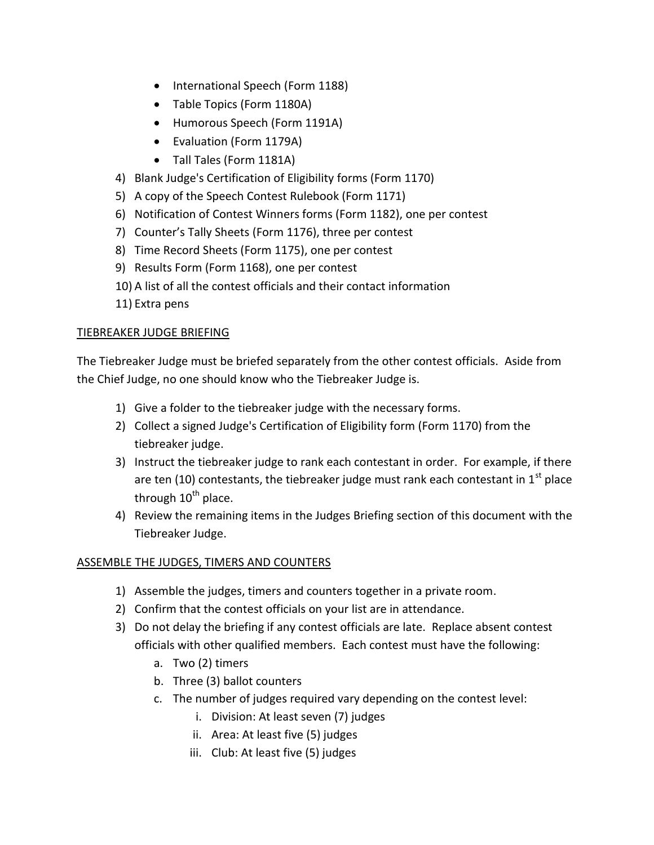- International Speech (Form 1188)
- Table Topics (Form 1180A)
- Humorous Speech (Form 1191A)
- Evaluation (Form 1179A)
- Tall Tales (Form 1181A)
- 4) Blank Judge's Certification of Eligibility forms (Form 1170)
- 5) A copy of the Speech Contest Rulebook (Form 1171)
- 6) Notification of Contest Winners forms (Form 1182), one per contest
- 7) Counter's Tally Sheets (Form 1176), three per contest
- 8) Time Record Sheets (Form 1175), one per contest
- 9) Results Form (Form 1168), one per contest
- 10) A list of all the contest officials and their contact information
- 11) Extra pens

### TIEBREAKER JUDGE BRIEFING

The Tiebreaker Judge must be briefed separately from the other contest officials. Aside from the Chief Judge, no one should know who the Tiebreaker Judge is.

- 1) Give a folder to the tiebreaker judge with the necessary forms.
- 2) Collect a signed Judge's Certification of Eligibility form (Form 1170) from the tiebreaker judge.
- 3) Instruct the tiebreaker judge to rank each contestant in order. For example, if there are ten (10) contestants, the tiebreaker judge must rank each contestant in  $1<sup>st</sup>$  place through  $10^{th}$  place.
- 4) Review the remaining items in the Judges Briefing section of this document with the Tiebreaker Judge.

## ASSEMBLE THE JUDGES, TIMERS AND COUNTERS

- 1) Assemble the judges, timers and counters together in a private room.
- 2) Confirm that the contest officials on your list are in attendance.
- 3) Do not delay the briefing if any contest officials are late. Replace absent contest officials with other qualified members. Each contest must have the following:
	- a. Two (2) timers
	- b. Three (3) ballot counters
	- c. The number of judges required vary depending on the contest level:
		- i. Division: At least seven (7) judges
		- ii. Area: At least five (5) judges
		- iii. Club: At least five (5) judges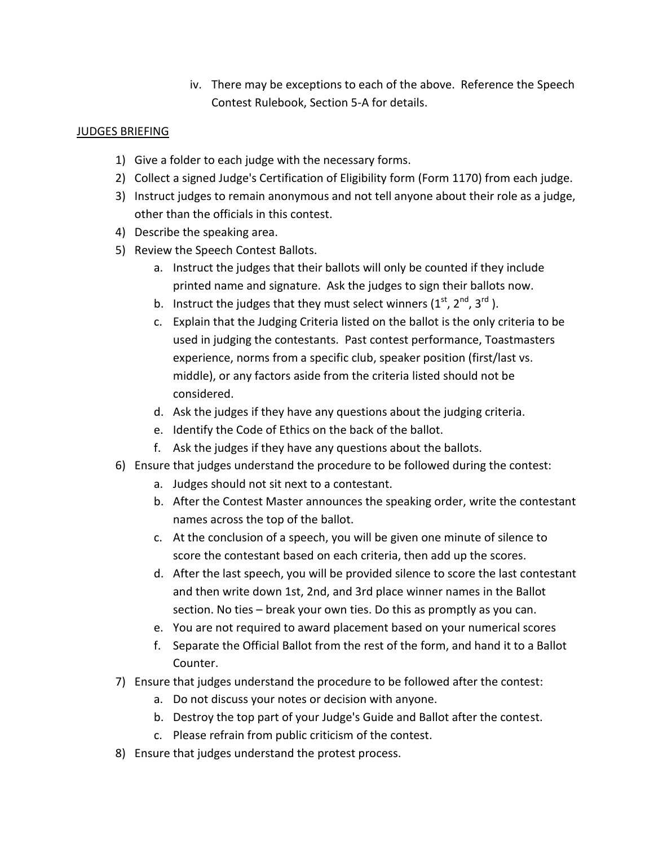iv. There may be exceptions to each of the above. Reference the Speech Contest Rulebook, Section 5-A for details.

#### JUDGES BRIEFING

- 1) Give a folder to each judge with the necessary forms.
- 2) Collect a signed Judge's Certification of Eligibility form (Form 1170) from each judge.
- 3) Instruct judges to remain anonymous and not tell anyone about their role as a judge, other than the officials in this contest.
- 4) Describe the speaking area.
- 5) Review the Speech Contest Ballots.
	- a. Instruct the judges that their ballots will only be counted if they include printed name and signature. Ask the judges to sign their ballots now.
	- b. Instruct the judges that they must select winners (1st, 2<sup>nd</sup>, 3<sup>rd</sup>).
	- c. Explain that the Judging Criteria listed on the ballot is the only criteria to be used in judging the contestants. Past contest performance, Toastmasters experience, norms from a specific club, speaker position (first/last vs. middle), or any factors aside from the criteria listed should not be considered.
	- d. Ask the judges if they have any questions about the judging criteria.
	- e. Identify the Code of Ethics on the back of the ballot.
	- f. Ask the judges if they have any questions about the ballots.
- 6) Ensure that judges understand the procedure to be followed during the contest:
	- a. Judges should not sit next to a contestant.
	- b. After the Contest Master announces the speaking order, write the contestant names across the top of the ballot.
	- c. At the conclusion of a speech, you will be given one minute of silence to score the contestant based on each criteria, then add up the scores.
	- d. After the last speech, you will be provided silence to score the last contestant and then write down 1st, 2nd, and 3rd place winner names in the Ballot section. No ties – break your own ties. Do this as promptly as you can.
	- e. You are not required to award placement based on your numerical scores
	- f. Separate the Official Ballot from the rest of the form, and hand it to a Ballot Counter.
- 7) Ensure that judges understand the procedure to be followed after the contest:
	- a. Do not discuss your notes or decision with anyone.
	- b. Destroy the top part of your Judge's Guide and Ballot after the contest.
	- c. Please refrain from public criticism of the contest.
- 8) Ensure that judges understand the protest process.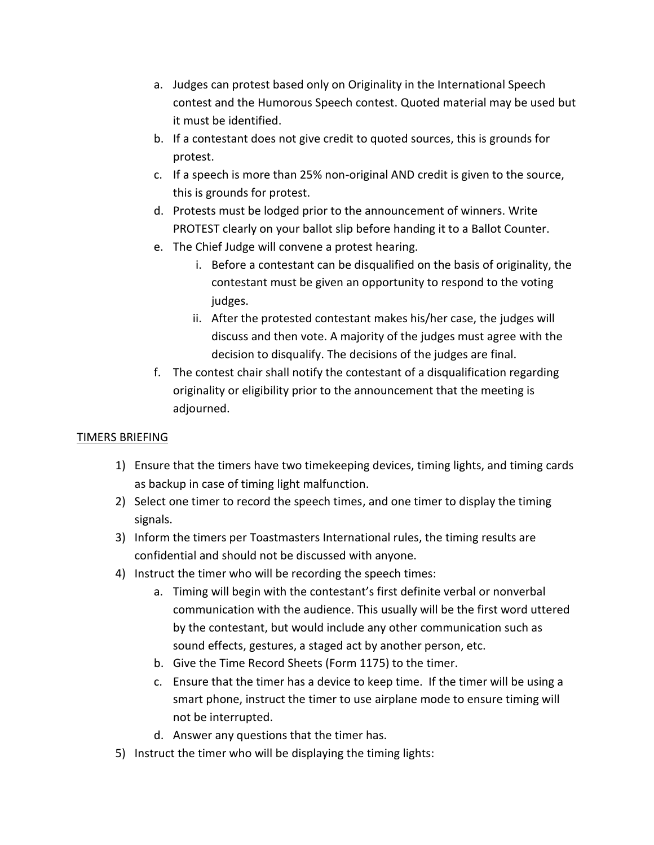- a. Judges can protest based only on Originality in the International Speech contest and the Humorous Speech contest. Quoted material may be used but it must be identified.
- b. If a contestant does not give credit to quoted sources, this is grounds for protest.
- c. If a speech is more than 25% non-original AND credit is given to the source, this is grounds for protest.
- d. Protests must be lodged prior to the announcement of winners. Write PROTEST clearly on your ballot slip before handing it to a Ballot Counter.
- e. The Chief Judge will convene a protest hearing.
	- i. Before a contestant can be disqualified on the basis of originality, the contestant must be given an opportunity to respond to the voting judges.
	- ii. After the protested contestant makes his/her case, the judges will discuss and then vote. A majority of the judges must agree with the decision to disqualify. The decisions of the judges are final.
- f. The contest chair shall notify the contestant of a disqualification regarding originality or eligibility prior to the announcement that the meeting is adjourned.

## TIMERS BRIEFING

- 1) Ensure that the timers have two timekeeping devices, timing lights, and timing cards as backup in case of timing light malfunction.
- 2) Select one timer to record the speech times, and one timer to display the timing signals.
- 3) Inform the timers per Toastmasters International rules, the timing results are confidential and should not be discussed with anyone.
- 4) Instruct the timer who will be recording the speech times:
	- a. Timing will begin with the contestant's first definite verbal or nonverbal communication with the audience. This usually will be the first word uttered by the contestant, but would include any other communication such as sound effects, gestures, a staged act by another person, etc.
	- b. Give the Time Record Sheets (Form 1175) to the timer.
	- c. Ensure that the timer has a device to keep time. If the timer will be using a smart phone, instruct the timer to use airplane mode to ensure timing will not be interrupted.
	- d. Answer any questions that the timer has.
- 5) Instruct the timer who will be displaying the timing lights: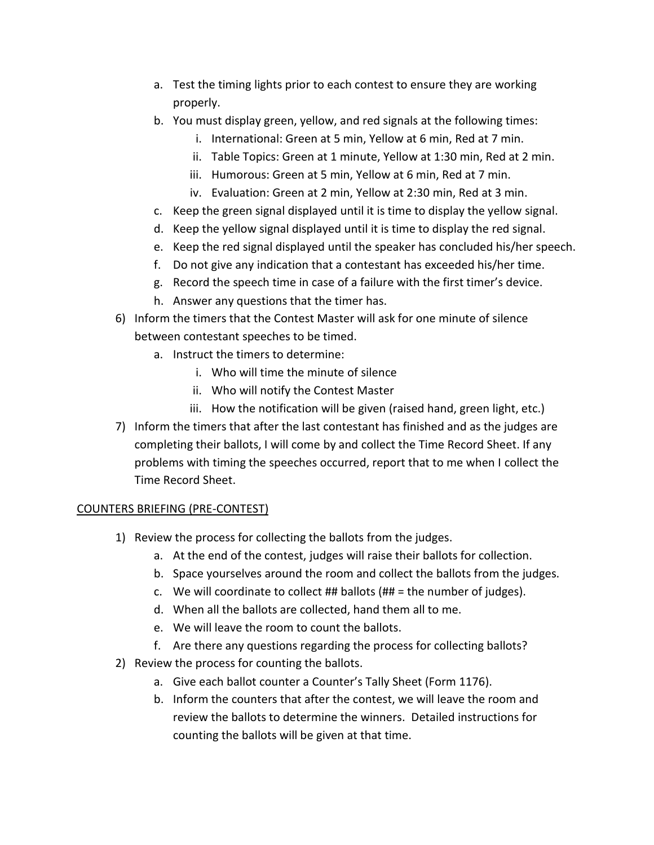- a. Test the timing lights prior to each contest to ensure they are working properly.
- b. You must display green, yellow, and red signals at the following times:
	- i. International: Green at 5 min, Yellow at 6 min, Red at 7 min.
	- ii. Table Topics: Green at 1 minute, Yellow at 1:30 min, Red at 2 min.
	- iii. Humorous: Green at 5 min, Yellow at 6 min, Red at 7 min.
	- iv. Evaluation: Green at 2 min, Yellow at 2:30 min, Red at 3 min.
- c. Keep the green signal displayed until it is time to display the yellow signal.
- d. Keep the yellow signal displayed until it is time to display the red signal.
- e. Keep the red signal displayed until the speaker has concluded his/her speech.
- f. Do not give any indication that a contestant has exceeded his/her time.
- g. Record the speech time in case of a failure with the first timer's device.
- h. Answer any questions that the timer has.
- 6) Inform the timers that the Contest Master will ask for one minute of silence between contestant speeches to be timed.
	- a. Instruct the timers to determine:
		- i. Who will time the minute of silence
		- ii. Who will notify the Contest Master
		- iii. How the notification will be given (raised hand, green light, etc.)
- 7) Inform the timers that after the last contestant has finished and as the judges are completing their ballots, I will come by and collect the Time Record Sheet. If any problems with timing the speeches occurred, report that to me when I collect the Time Record Sheet.

#### COUNTERS BRIEFING (PRE-CONTEST)

- 1) Review the process for collecting the ballots from the judges.
	- a. At the end of the contest, judges will raise their ballots for collection.
	- b. Space yourselves around the room and collect the ballots from the judges.
	- c. We will coordinate to collect  $##$  ballots ( $## =$  the number of judges).
	- d. When all the ballots are collected, hand them all to me.
	- e. We will leave the room to count the ballots.
	- f. Are there any questions regarding the process for collecting ballots?
- 2) Review the process for counting the ballots.
	- a. Give each ballot counter a Counter's Tally Sheet (Form 1176).
	- b. Inform the counters that after the contest, we will leave the room and review the ballots to determine the winners. Detailed instructions for counting the ballots will be given at that time.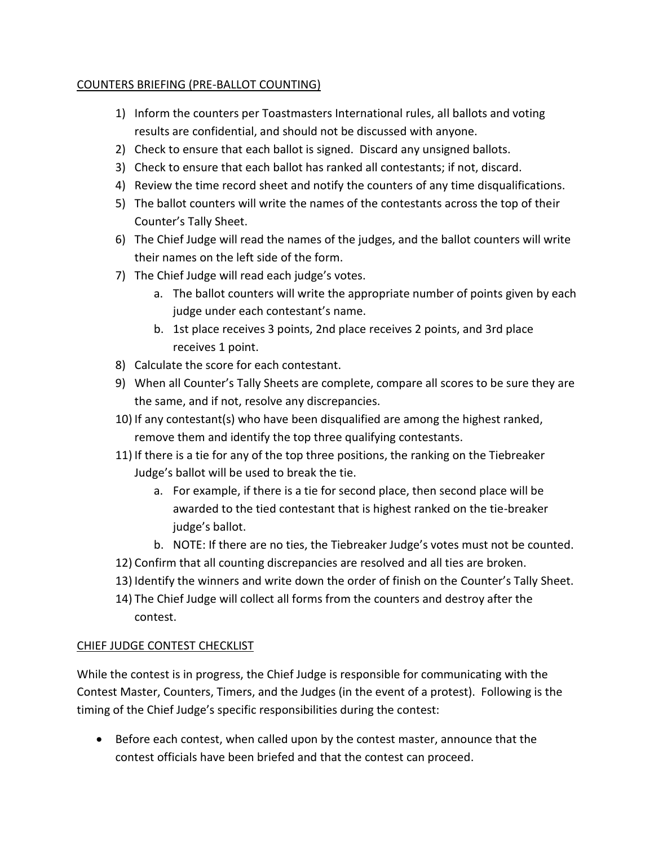#### COUNTERS BRIEFING (PRE-BALLOT COUNTING)

- 1) Inform the counters per Toastmasters International rules, all ballots and voting results are confidential, and should not be discussed with anyone.
- 2) Check to ensure that each ballot is signed. Discard any unsigned ballots.
- 3) Check to ensure that each ballot has ranked all contestants; if not, discard.
- 4) Review the time record sheet and notify the counters of any time disqualifications.
- 5) The ballot counters will write the names of the contestants across the top of their Counter's Tally Sheet.
- 6) The Chief Judge will read the names of the judges, and the ballot counters will write their names on the left side of the form.
- 7) The Chief Judge will read each judge's votes.
	- a. The ballot counters will write the appropriate number of points given by each judge under each contestant's name.
	- b. 1st place receives 3 points, 2nd place receives 2 points, and 3rd place receives 1 point.
- 8) Calculate the score for each contestant.
- 9) When all Counter's Tally Sheets are complete, compare all scores to be sure they are the same, and if not, resolve any discrepancies.
- 10) If any contestant(s) who have been disqualified are among the highest ranked, remove them and identify the top three qualifying contestants.
- 11) If there is a tie for any of the top three positions, the ranking on the Tiebreaker Judge's ballot will be used to break the tie.
	- a. For example, if there is a tie for second place, then second place will be awarded to the tied contestant that is highest ranked on the tie-breaker judge's ballot.
	- b. NOTE: If there are no ties, the Tiebreaker Judge's votes must not be counted.
- 12) Confirm that all counting discrepancies are resolved and all ties are broken.
- 13) Identify the winners and write down the order of finish on the Counter's Tally Sheet.
- 14) The Chief Judge will collect all forms from the counters and destroy after the contest.

## CHIEF JUDGE CONTEST CHECKLIST

While the contest is in progress, the Chief Judge is responsible for communicating with the Contest Master, Counters, Timers, and the Judges (in the event of a protest). Following is the timing of the Chief Judge's specific responsibilities during the contest:

 Before each contest, when called upon by the contest master, announce that the contest officials have been briefed and that the contest can proceed.